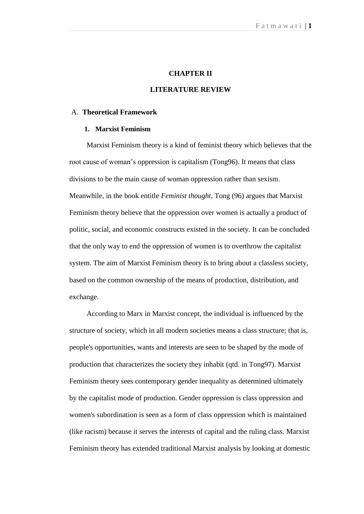#### **CHAPTER II**

#### **LITERATURE REVIEW**

#### A. **Theoretical Framework**

#### **1. Marxist Feminism**

Marxist Feminism theory is a kind of feminist theory which believes that the root cause of woman"s oppression is capitalism (Tong96). It means that class divisions to be the main cause of woman oppression rather than sexism. Meanwhile, in the book entitle *Feminist thought*, Tong (96) argues that Marxist Feminism theory believe that the oppression over women is actually a product of politic, social, and economic constructs existed in the society. It can be concluded that the only way to end the oppression of women is to overthrow the capitalist system. The aim of Marxist Feminism theory is to bring about a classless society, based on the common ownership of the means of production, distribution, and exchange.

According to Marx in Marxist concept, the individual is influenced by the structure of society, which in all modern societies means a class structure; that is, people's opportunities, wants and interests are seen to be shaped by the mode of production that characterizes the society they inhabit (qtd. in Tong97). Marxist Feminism theory sees contemporary gender inequality as determined ultimately by the capitalist mode of production. Gender oppression is class oppression and women's subordination is seen as a form of class oppression which is maintained (like racism) because it serves the interests of capital and the ruling class. Marxist Feminism theory has extended traditional Marxist analysis by looking at domestic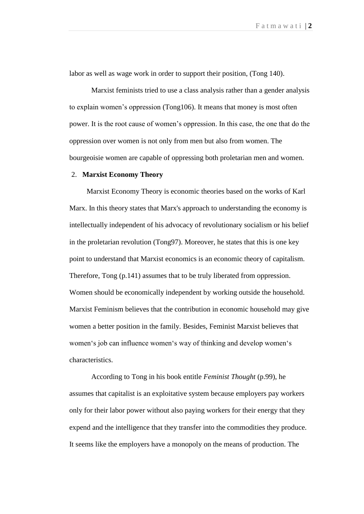labor as well as wage work in order to support their position, (Tong 140).

Marxist feminists tried to use a class analysis rather than a gender analysis to explain women"s oppression (Tong106). It means that money is most often power. It is the root cause of women"s oppression. In this case, the one that do the oppression over women is not only from men but also from women. The bourgeoisie women are capable of oppressing both proletarian men and women.

#### 2. **Marxist Economy Theory**

Marxist Economy Theory is economic theories based on the works of Karl Marx. In this theory states that Marx's approach to understanding the economy is intellectually independent of his advocacy of revolutionary socialism or his belief in the proletarian revolution (Tong97). Moreover, he states that this is one key point to understand that Marxist economics is an economic theory of capitalism. Therefore, Tong (p.141) assumes that to be truly liberated from oppression. Women should be economically independent by working outside the household. Marxist Feminism believes that the contribution in economic household may give women a better position in the family. Besides, Feminist Marxist believes that women's job can influence women's way of thinking and develop women's characteristics.

According to Tong in his book entitle *Feminist Thought* (p.99), he assumes that capitalist is an exploitative system because employers pay workers only for their labor power without also paying workers for their energy that they expend and the intelligence that they transfer into the commodities they produce. It seems like the employers have a monopoly on the means of production. The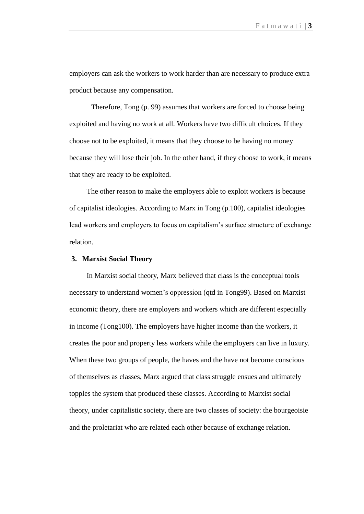employers can ask the workers to work harder than are necessary to produce extra product because any compensation.

Therefore, Tong (p. 99) assumes that workers are forced to choose being exploited and having no work at all. Workers have two difficult choices. If they choose not to be exploited, it means that they choose to be having no money because they will lose their job. In the other hand, if they choose to work, it means that they are ready to be exploited.

The other reason to make the employers able to exploit workers is because of capitalist ideologies. According to Marx in Tong (p.100), capitalist ideologies lead workers and employers to focus on capitalism"s surface structure of exchange relation.

### **3. Marxist Social Theory**

In Marxist social theory, Marx believed that class is the conceptual tools necessary to understand women"s oppression (qtd in Tong99). Based on Marxist economic theory, there are employers and workers which are different especially in income (Tong100). The employers have higher income than the workers, it creates the poor and property less workers while the employers can live in luxury. When these two groups of people, the haves and the have not become conscious of themselves as classes, Marx argued that class struggle ensues and ultimately topples the system that produced these classes. According to Marxist social theory, under capitalistic society, there are two classes of society: the bourgeoisie and the proletariat who are related each other because of exchange relation.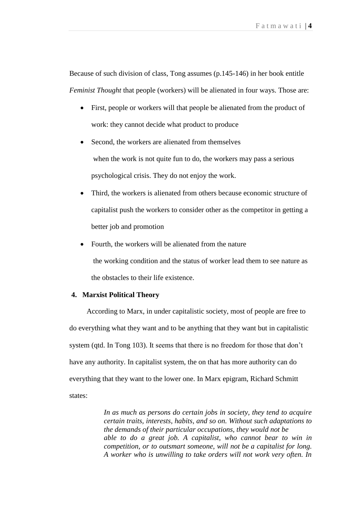Because of such division of class, Tong assumes (p.145-146) in her book entitle *Feminist Thought* that people (workers) will be alienated in four ways. Those are:

- First, people or workers will that people be alienated from the product of work: they cannot decide what product to produce
- Second, the workers are alienated from themselves when the work is not quite fun to do, the workers may pass a serious psychological crisis. They do not enjoy the work.
- Third, the workers is alienated from others because economic structure of capitalist push the workers to consider other as the competitor in getting a better job and promotion
- Fourth, the workers will be alienated from the nature the working condition and the status of worker lead them to see nature as the obstacles to their life existence.

### **4. Marxist Political Theory**

According to Marx, in under capitalistic society, most of people are free to do everything what they want and to be anything that they want but in capitalistic system (qtd. In Tong 103). It seems that there is no freedom for those that don"t have any authority. In capitalist system, the on that has more authority can do everything that they want to the lower one. In Marx epigram, Richard Schmitt states:

> *In as much as persons do certain jobs in society, they tend to acquire certain traits, interests, habits, and so on. Without such adaptations to the demands of their particular occupations, they would not be able to do a great job. A capitalist, who cannot bear to win in competition, or to outsmart someone, will not be a capitalist for long. A worker who is unwilling to take orders will not work very often. In*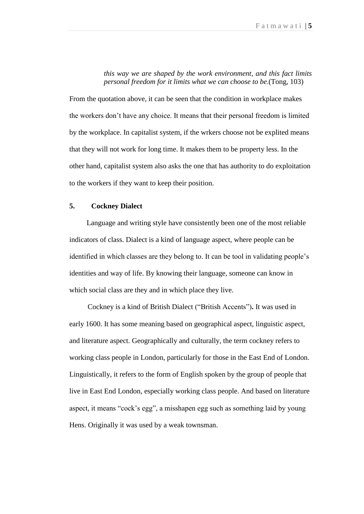*this way we are shaped by the work environment, and this fact limits personal freedom for it limits what we can choose to be*.(Tong, 103)

From the quotation above, it can be seen that the condition in workplace makes the workers don"t have any choice. It means that their personal freedom is limited by the workplace. In capitalist system, if the wrkers choose not be explited means that they will not work for long time. It makes them to be property less. In the other hand, capitalist system also asks the one that has authority to do exploitation to the workers if they want to keep their position.

# **5. Cockney Dialect**

Language and writing style have consistently been one of the most reliable indicators of class. Dialect is a kind of language aspect, where people can be identified in which classes are they belong to. It can be tool in validating people"s identities and way of life. By knowing their language, someone can know in which social class are they and in which place they live.

 Cockney is a kind of British Dialect ("British Accents")**.** It was used in early 1600. It has some meaning based on geographical aspect, linguistic aspect, and literature aspect. Geographically and culturally, the term cockney refers to working class people in London, particularly for those in the East End of London. Linguistically, it refers to the form of English spoken by the group of people that live in East End London, especially working class people. And based on literature aspect, it means "cock"s egg", a misshapen egg such as something laid by young Hens. Originally it was used by a weak townsman.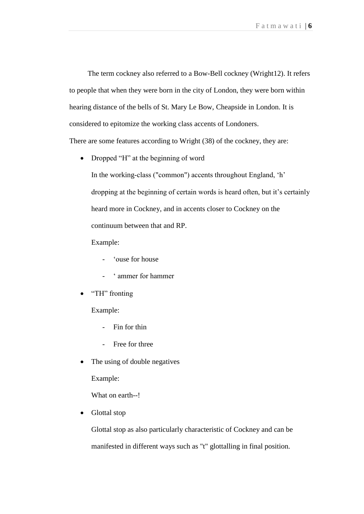The term cockney also referred to a Bow-Bell cockney (Wright12). It refers to people that when they were born in the city of London, they were born within hearing distance of the bells of St. Mary Le Bow, Cheapside in London. It is considered to epitomize the working class accents of Londoners. There are some features according to Wright (38) of the cockney, they are:

• Dropped "H" at the beginning of word

In the working-class ("common") accents throughout England, 'h' dropping at the beginning of certain words is heard often, but it's certainly heard more in Cockney, and in accents closer to Cockney on the continuum between that and RP.

Example:

- 'ouse for house
- " ammer for hammer
- "TH" fronting

Example:

- Fin for thin
- Free for three
- The using of double negatives

Example:

What on earth--!

Glottal stop

Glottal stop as also particularly characteristic of Cockney and can be manifested in different ways such as "t" glottalling in final position.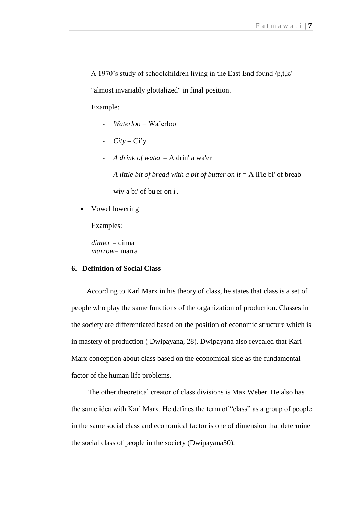A 1970"s study of schoolchildren living in the East End found /p,t,k/

"almost invariably glottalized" in final position.

Example:

- *Waterloo* = Wa"erloo
- $City = Ci'y$
- *A drink of water* = A drin' a wa'er
- *A little bit of bread with a bit of butter on it* = A li'le bi' of breab wiv a bi' of bu'er on i'.
- Vowel lowering

Examples:

*dinner* = dinna *marrow*= marra

# **6. Definition of Social Class**

According to Karl Marx in his theory of class, he states that class is a set of people who play the same functions of the organization of production. Classes in the society are differentiated based on the position of economic structure which is in mastery of production ( Dwipayana, 28). Dwipayana also revealed that Karl Marx conception about class based on the economical side as the fundamental factor of the human life problems.

 The other theoretical creator of class divisions is Max Weber. He also has the same idea with Karl Marx. He defines the term of "class" as a group of people in the same social class and economical factor is one of dimension that determine the social class of people in the society (Dwipayana30).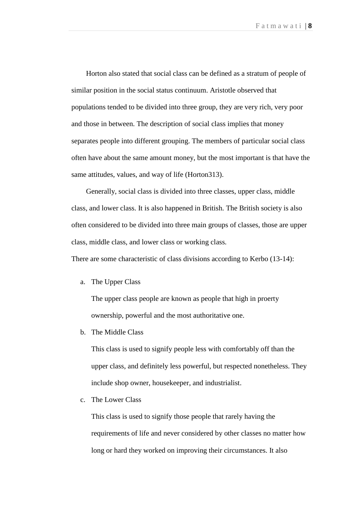Horton also stated that social class can be defined as a stratum of people of similar position in the social status continuum. Aristotle observed that populations tended to be divided into three group, they are very rich, very poor and those in between. The description of social class implies that money separates people into different grouping. The members of particular social class often have about the same amount money, but the most important is that have the same attitudes, values, and way of life (Horton313).

 Generally, social class is divided into three classes, upper class, middle class, and lower class. It is also happened in British. The British society is also often considered to be divided into three main groups of classes, those are upper class, middle class, and lower class or working class*.*

There are some characteristic of class divisions according to Kerbo (13-14):

a. The Upper Class

The upper class people are known as people that high in proerty ownership, powerful and the most authoritative one.

b. The Middle Class

This class is used to signify people less with comfortably off than the upper class, and definitely less powerful, but respected nonetheless. They include shop owner, housekeeper, and industrialist.

c. The Lower Class

This class is used to signify those people that rarely having the requirements of life and never considered by other classes no matter how long or hard they worked on improving their circumstances. It also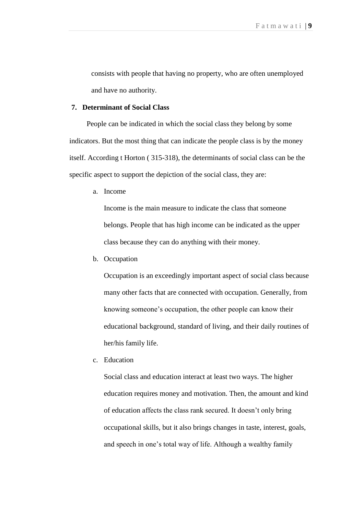consists with people that having no property, who are often unemployed and have no authority.

### **7. Determinant of Social Class**

People can be indicated in which the social class they belong by some indicators. But the most thing that can indicate the people class is by the money itself. According t Horton ( 315-318), the determinants of social class can be the specific aspect to support the depiction of the social class, they are:

a. Income

Income is the main measure to indicate the class that someone belongs. People that has high income can be indicated as the upper class because they can do anything with their money.

b. Occupation

Occupation is an exceedingly important aspect of social class because many other facts that are connected with occupation. Generally, from knowing someone"s occupation, the other people can know their educational background, standard of living, and their daily routines of her/his family life.

c. Education

Social class and education interact at least two ways. The higher education requires money and motivation. Then, the amount and kind of education affects the class rank secured. It doesn"t only bring occupational skills, but it also brings changes in taste, interest, goals, and speech in one"s total way of life. Although a wealthy family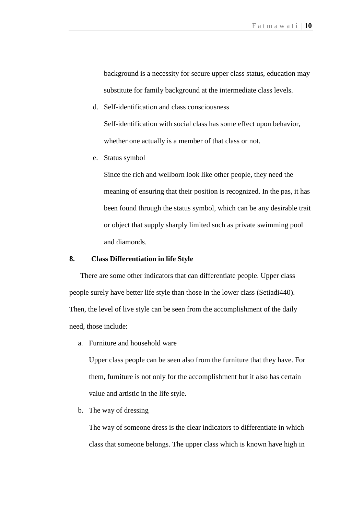background is a necessity for secure upper class status, education may substitute for family background at the intermediate class levels.

d. Self-identification and class consciousness

Self-identification with social class has some effect upon behavior, whether one actually is a member of that class or not.

e. Status symbol

Since the rich and wellborn look like other people, they need the meaning of ensuring that their position is recognized. In the pas, it has been found through the status symbol, which can be any desirable trait or object that supply sharply limited such as private swimming pool and diamonds.

### **8. Class Differentiation in life Style**

 There are some other indicators that can differentiate people. Upper class people surely have better life style than those in the lower class (Setiadi440). Then, the level of live style can be seen from the accomplishment of the daily need, those include:

a. Furniture and household ware

Upper class people can be seen also from the furniture that they have. For them, furniture is not only for the accomplishment but it also has certain value and artistic in the life style.

b. The way of dressing

The way of someone dress is the clear indicators to differentiate in which class that someone belongs. The upper class which is known have high in